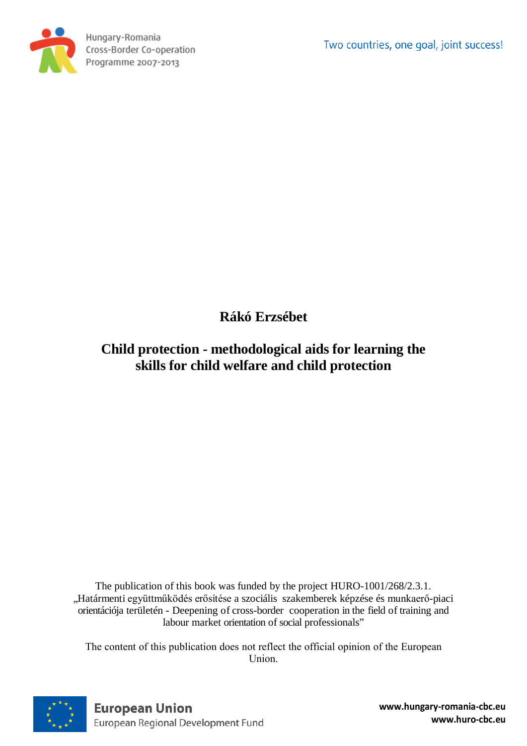Two countries, one goal, joint success!



**Rákó Erzsébet**

# **Child protection - methodological aids for learning the skills for child welfare and child protection**

The publication of this book was funded by the project HURO-1001/268/2.3.1. "Határmenti együttműködés erősítése a szociális szakemberek képzése és munkaerő-piaci orientációja területén - Deepening of cross-border cooperation in the field of training and labour market orientation of social professionals"

The content of this publication does not reflect the official opinion of the European Union.

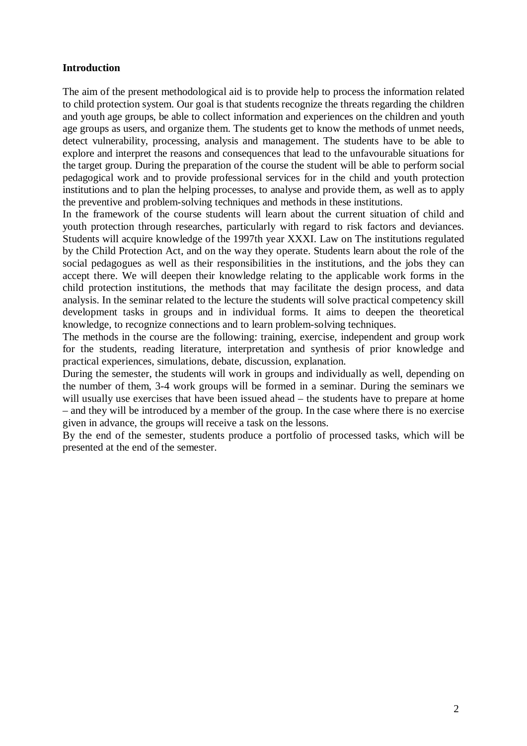#### **Introduction**

The aim of the present methodological aid is to provide help to process the information related to child protection system. Our goal is that students recognize the threats regarding the children and youth age groups, be able to collect information and experiences on the children and youth age groups as users, and organize them. The students get to know the methods of unmet needs, detect vulnerability, processing, analysis and management. The students have to be able to explore and interpret the reasons and consequences that lead to the unfavourable situations for the target group. During the preparation of the course the student will be able to perform social pedagogical work and to provide professional services for in the child and youth protection institutions and to plan the helping processes, to analyse and provide them, as well as to apply the preventive and problem-solving techniques and methods in these institutions.

In the framework of the course students will learn about the current situation of child and youth protection through researches, particularly with regard to risk factors and deviances. Students will acquire knowledge of the 1997th year XXXI. Law on The institutions regulated by the Child Protection Act, and on the way they operate. Students learn about the role of the social pedagogues as well as their responsibilities in the institutions, and the jobs they can accept there. We will deepen their knowledge relating to the applicable work forms in the child protection institutions, the methods that may facilitate the design process, and data analysis. In the seminar related to the lecture the students will solve practical competency skill development tasks in groups and in individual forms. It aims to deepen the theoretical knowledge, to recognize connections and to learn problem-solving techniques.

The methods in the course are the following: training, exercise, independent and group work for the students, reading literature, interpretation and synthesis of prior knowledge and practical experiences, simulations, debate, discussion, explanation.

During the semester, the students will work in groups and individually as well, depending on the number of them, 3-4 work groups will be formed in a seminar. During the seminars we will usually use exercises that have been issued ahead – the students have to prepare at home – and they will be introduced by a member of the group. In the case where there is no exercise given in advance, the groups will receive a task on the lessons.

By the end of the semester, students produce a portfolio of processed tasks, which will be presented at the end of the semester.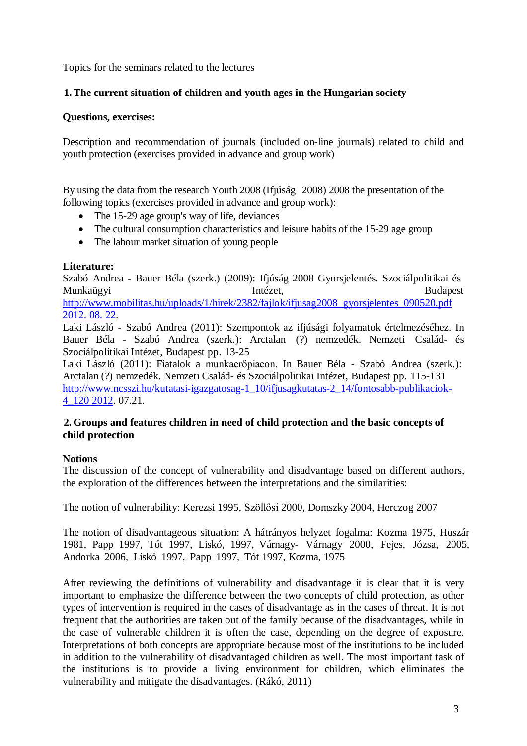Topics for the seminars related to the lectures

# **1.The current situation of children and youth ages in the Hungarian society**

#### **Questions, exercises:**

Description and recommendation of journals (included on-line journals) related to child and youth protection (exercises provided in advance and group work)

By using the data from the research Youth 2008 (Ifjúság 2008) 2008 the presentation of the following topics (exercises provided in advance and group work):

- The 15-29 age group's way of life, deviances
- The cultural consumption characteristics and leisure habits of the 15-29 age group
- The labour market situation of young people

# **Literature:**

Szabó Andrea - Bauer Béla (szerk.) (2009): Ifjúság 2008 Gyorsjelentés. Szociálpolitikai és Munkaügyi Intézet, Budapest [http://www.mobilitas.hu/uploads/1/hirek/2382/fajlok/ifjusag2008\\_gyorsjelentes\\_090520.pdf](http://www.mobilitas.hu/uploads/1/hirek/2382/fajlok/ifjusag2008_gyorsjelentes_090520.pdf%202012.%2008.%2022)  [2012.](http://www.mobilitas.hu/uploads/1/hirek/2382/fajlok/ifjusag2008_gyorsjelentes_090520.pdf%202012.%2008.%2022) 08. 22.

Laki László - Szabó Andrea (2011): Szempontok az ifjúsági folyamatok értelmezéséhez. In Bauer Béla - Szabó Andrea (szerk.): Arctalan (?) nemzedék. Nemzeti Család- és Szociálpolitikai Intézet, Budapest pp. 13-25

Laki László (2011): Fiatalok a munkaerőpiacon. In Bauer Béla - Szabó Andrea (szerk.): Arctalan (?) nemzedék. Nemzeti Család- és Szociálpolitikai Intézet, Budapest pp. 115-131 [http://www.ncsszi.hu/kutatasi-igazgatosag-1\\_10/ifjusagkutatas-2\\_14/fontosabb-publikaciok-](http://www.ncsszi.hu/kutatasi-igazgatosag-1_10/ifjusagkutatas-2_14/fontosabb-publikaciok-4_120%202012)[4\\_120](http://www.ncsszi.hu/kutatasi-igazgatosag-1_10/ifjusagkutatas-2_14/fontosabb-publikaciok-4_120%202012) 2012. 07.21.

#### **2. Groups and features children in need of child protection and the basic concepts of child protection**

# **Notions**

The discussion of the concept of vulnerability and disadvantage based on different authors, the exploration of the differences between the interpretations and the similarities:

The notion of vulnerability: Kerezsi 1995, Szöllősi 2000, Domszky 2004, Herczog 2007

The notion of disadvantageous situation: A hátrányos helyzet fogalma: Kozma 1975, Huszár 1981, Papp 1997, Tót 1997, Liskó, 1997, Várnagy- Várnagy 2000, Fejes, Józsa, 2005, Andorka 2006, Liskó 1997, Papp 1997, Tót 1997, Kozma, 1975

After reviewing the definitions of vulnerability and disadvantage it is clear that it is very important to emphasize the difference between the two concepts of child protection, as other types of intervention is required in the cases of disadvantage as in the cases of threat. It is not frequent that the authorities are taken out of the family because of the disadvantages, while in the case of vulnerable children it is often the case, depending on the degree of exposure. Interpretations of both concepts are appropriate because most of the institutions to be included in addition to the vulnerability of disadvantaged children as well. The most important task of the institutions is to provide a living environment for children, which eliminates the vulnerability and mitigate the disadvantages. (Rákó, 2011)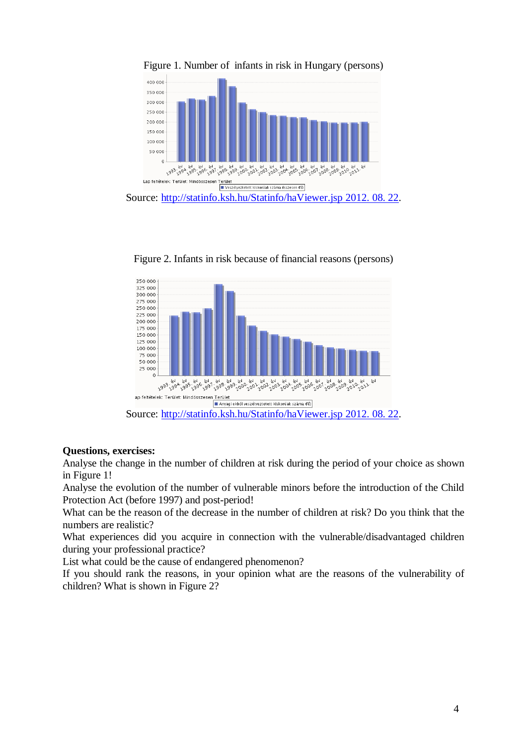

Figure 2. Infants in risk because of financial reasons (persons)



# **Questions, exercises:**

Analyse the change in the number of children at risk during the period of your choice as shown in Figure 1!

Analyse the evolution of the number of vulnerable minors before the introduction of the Child Protection Act (before 1997) and post-period!

What can be the reason of the decrease in the number of children at risk? Do you think that the numbers are realistic?

What experiences did you acquire in connection with the vulnerable/disadvantaged children during your professional practice?

List what could be the cause of endangered phenomenon?

If you should rank the reasons, in your opinion what are the reasons of the vulnerability of children? What is shown in Figure 2?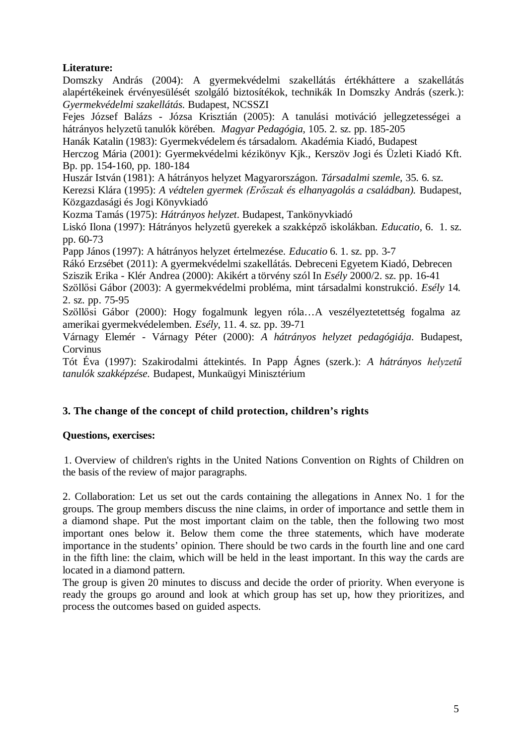# **Literature:**

Domszky András (2004): A gyermekvédelmi szakellátás értékháttere a szakellátás alapértékeinek érvényesülését szolgáló biztosítékok, technikák In Domszky András (szerk.): *Gyermekvédelmi szakellátás*. Budapest, NCSSZI

Fejes József Balázs - Józsa Krisztián (2005): A tanulási motiváció jellegzetességei a hátrányos helyzetű tanulók körében. *Magyar Pedagógia,* 105. 2. sz. pp. 185-205

Hanák Katalin (1983): Gyermekvédelem és társadalom. Akadémia Kiadó, Budapest

Herczog Mária (2001): Gyermekvédelmi kézikönyv Kjk., Kerszöv Jogi és Üzleti Kiadó Kft. Bp. pp. 154-160, pp. 180-184

Huszár István (1981): A hátrányos helyzet Magyarországon. *Társadalmi szemle,* 35*.* 6. sz. Kerezsi Klára (1995): *A védtelen gyermek (Erőszak és elhanyagolás a családban).* Budapest, Közgazdasági és Jogi Könyvkiadó

Kozma Tamás (1975): *Hátrányos helyzet*. Budapest, Tankönyvkiadó

Liskó Ilona (1997): Hátrányos helyzetű gyerekek a szakképző iskolákban. *Educatio,* 6. 1. sz. pp. 60-73

Papp János (1997): A hátrányos helyzet értelmezése. *Educatio* 6. 1. sz. pp. 3-7

Rákó Erzsébet (2011): A gyermekvédelmi szakellátás. Debreceni Egyetem Kiadó, Debrecen

Sziszik Erika - Klér Andrea (2000): Akikért a törvény szól In *Esély* 2000/2. sz. pp. 16-41

Szöllősi Gábor (2003): A gyermekvédelmi probléma, mint társadalmi konstrukció. *Esély* 14*.* 2. sz. pp. 75-95

Szöllősi Gábor (2000): Hogy fogalmunk legyen róla…A veszélyeztetettség fogalma az amerikai gyermekvédelemben. *Esély*, 11. 4. sz. pp. 39-71

Várnagy Elemér - Várnagy Péter (2000): *A hátrányos helyzet pedagógiája*. Budapest, Corvinus

Tót Éva (1997): Szakirodalmi áttekintés. In Papp Ágnes (szerk.): *A hátrányos helyzetű tanulók szakképzése.* Budapest, Munkaügyi Minisztérium

# **3. The change of the concept of child protection, children's rights**

# **Questions, exercises:**

1. Overview of children's rights in the United Nations Convention on Rights of Children on the basis of the review of major paragraphs.

2. Collaboration: Let us set out the cards containing the allegations in Annex No. 1 for the groups. The group members discuss the nine claims, in order of importance and settle them in a diamond shape. Put the most important claim on the table, then the following two most important ones below it. Below them come the three statements, which have moderate importance in the students' opinion. There should be two cards in the fourth line and one card in the fifth line: the claim, which will be held in the least important. In this way the cards are located in a diamond pattern.

The group is given 20 minutes to discuss and decide the order of priority. When everyone is ready the groups go around and look at which group has set up, how they prioritizes, and process the outcomes based on guided aspects.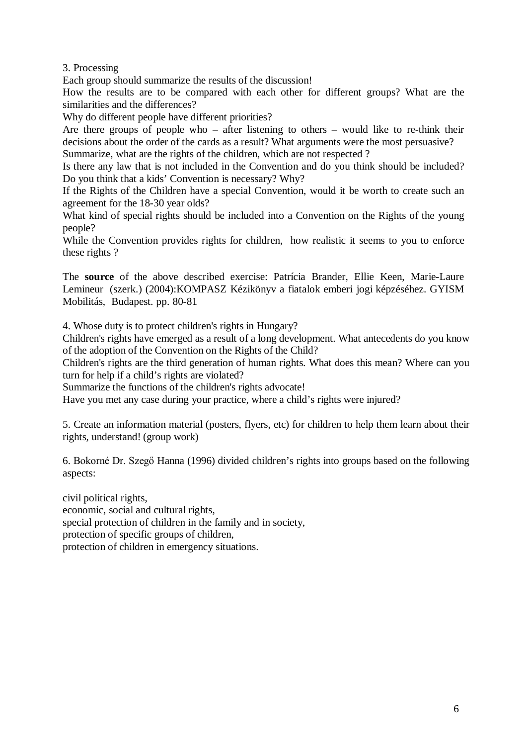3. Processing

Each group should summarize the results of the discussion!

How the results are to be compared with each other for different groups? What are the similarities and the differences?

Why do different people have different priorities?

Are there groups of people who – after listening to others – would like to re-think their decisions about the order of the cards as a result? What arguments were the most persuasive? Summarize, what are the rights of the children, which are not respected ?

Is there any law that is not included in the Convention and do you think should be included? Do you think that a kids' Convention is necessary? Why?

If the Rights of the Children have a special Convention, would it be worth to create such an agreement for the 18-30 year olds?

What kind of special rights should be included into a Convention on the Rights of the young people?

While the Convention provides rights for children, how realistic it seems to you to enforce these rights ?

The **source** of the above described exercise: Patrícia Brander, Ellie Keen, Marie-Laure Lemineur (szerk.) (2004):KOMPASZ Kézikönyv a fiatalok emberi jogi képzéséhez. GYISM Mobilitás, Budapest. pp. 80-81

4. Whose duty is to protect children's rights in Hungary?

Children's rights have emerged as a result of a long development. What antecedents do you know of the adoption of the Convention on the Rights of the Child?

Children's rights are the third generation of human rights. What does this mean? Where can you turn for help if a child's rights are violated?

Summarize the functions of the children's rights advocate!

Have you met any case during your practice, where a child's rights were injured?

5. Create an information material (posters, flyers, etc) for children to help them learn about their rights, understand! (group work)

6. Bokorné Dr. Szegő Hanna (1996) divided children's rights into groups based on the following aspects:

civil political rights, economic, social and cultural rights, special protection of children in the family and in society, protection of specific groups of children, protection of children in emergency situations.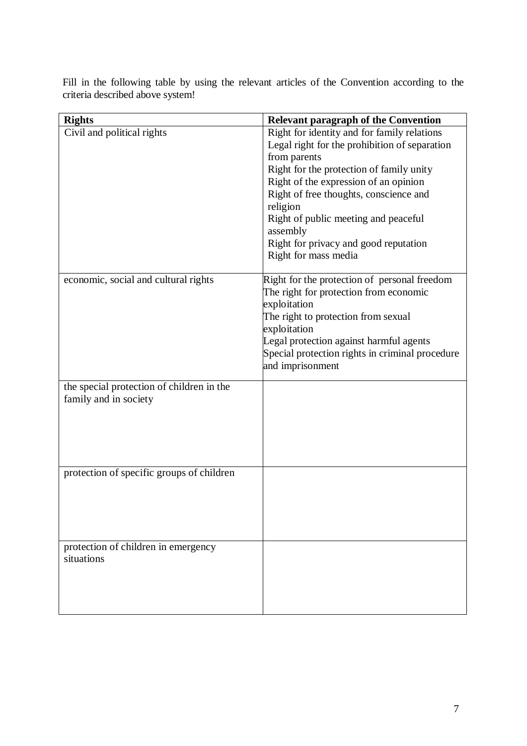Fill in the following table by using the relevant articles of the Convention according to the criteria described above system!

| <b>Rights</b>                             | <b>Relevant paragraph of the Convention</b>     |
|-------------------------------------------|-------------------------------------------------|
| Civil and political rights                | Right for identity and for family relations     |
|                                           | Legal right for the prohibition of separation   |
|                                           | from parents                                    |
|                                           | Right for the protection of family unity        |
|                                           | Right of the expression of an opinion           |
|                                           | Right of free thoughts, conscience and          |
|                                           | religion                                        |
|                                           | Right of public meeting and peaceful            |
|                                           | assembly                                        |
|                                           | Right for privacy and good reputation           |
|                                           | Right for mass media                            |
| economic, social and cultural rights      | Right for the protection of personal freedom    |
|                                           | The right for protection from economic          |
|                                           | exploitation                                    |
|                                           | The right to protection from sexual             |
|                                           | exploitation                                    |
|                                           | Legal protection against harmful agents         |
|                                           | Special protection rights in criminal procedure |
|                                           | and imprisonment                                |
|                                           |                                                 |
| the special protection of children in the |                                                 |
| family and in society                     |                                                 |
|                                           |                                                 |
|                                           |                                                 |
|                                           |                                                 |
|                                           |                                                 |
| protection of specific groups of children |                                                 |
|                                           |                                                 |
|                                           |                                                 |
|                                           |                                                 |
|                                           |                                                 |
|                                           |                                                 |
| protection of children in emergency       |                                                 |
| situations                                |                                                 |
|                                           |                                                 |
|                                           |                                                 |
|                                           |                                                 |
|                                           |                                                 |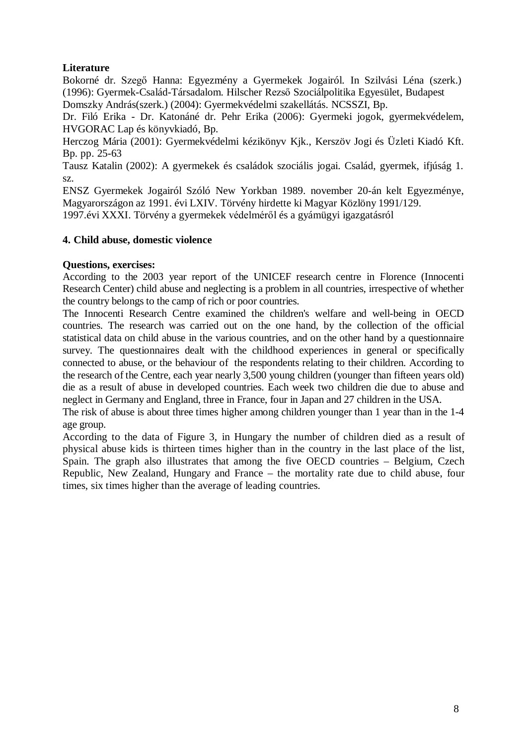# **Literature**

Bokorné dr. Szegő Hanna: Egyezmény a Gyermekek Jogairól. In Szilvási Léna (szerk.) (1996): Gyermek-Család-Társadalom. Hilscher Rezső Szociálpolitika Egyesület, Budapest Domszky András(szerk.) (2004): Gyermekvédelmi szakellátás. NCSSZI, Bp.

Dr. Filó Erika - Dr. Katonáné dr. Pehr Erika (2006): Gyermeki jogok, gyermekvédelem, HVGORAC Lap és könyvkiadó, Bp.

Herczog Mária (2001): Gyermekvédelmi kézikönyv Kjk., Kerszöv Jogi és Üzleti Kiadó Kft. Bp. pp. 25-63

Tausz Katalin (2002): A gyermekek és családok szociális jogai. Család, gyermek, ifjúság 1. sz.

ENSZ Gyermekek Jogairól Szóló New Yorkban 1989. november 20-án kelt Egyezménye, Magyarországon az 1991. évi LXIV. Törvény hirdette ki Magyar Közlöny 1991/129. 1997.évi XXXI. Törvény a gyermekek védelméről és a gyámügyi igazgatásról

# **4. Child abuse, domestic violence**

# **Questions, exercises:**

According to the 2003 year report of the UNICEF research centre in Florence (Innocenti Research Center) child abuse and neglecting is a problem in all countries, irrespective of whether the country belongs to the camp of rich or poor countries.

The Innocenti Research Centre examined the children's welfare and well-being in OECD countries. The research was carried out on the one hand, by the collection of the official statistical data on child abuse in the various countries, and on the other hand by a questionnaire survey. The questionnaires dealt with the childhood experiences in general or specifically connected to abuse, or the behaviour of the respondents relating to their children. According to the research of the Centre, each year nearly 3,500 young children (younger than fifteen years old) die as a result of abuse in developed countries. Each week two children die due to abuse and neglect in Germany and England, three in France, four in Japan and 27 children in the USA.

The risk of abuse is about three times higher among children younger than 1 year than in the 1-4 age group.

According to the data of Figure 3, in Hungary the number of children died as a result of physical abuse kids is thirteen times higher than in the country in the last place of the list, Spain. The graph also illustrates that among the five OECD countries – Belgium, Czech Republic, New Zealand, Hungary and France – the mortality rate due to child abuse, four times, six times higher than the average of leading countries.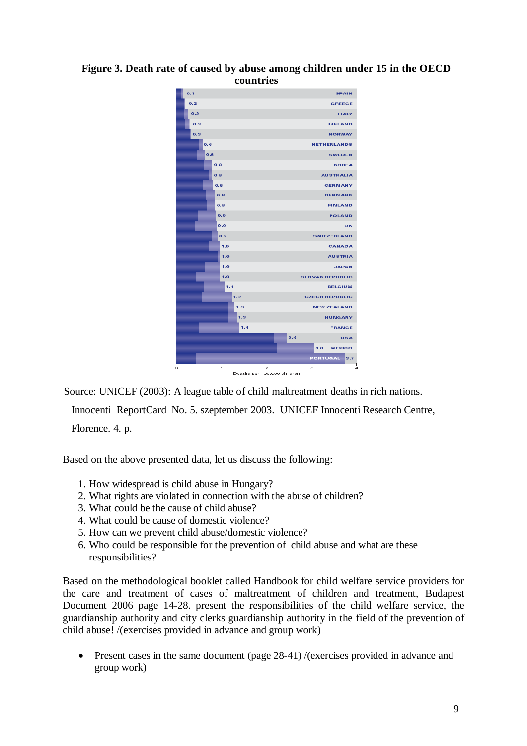#### **Figure 3. Death rate of caused by abuse among children under 15 in the OECD countries**



Source: UNICEF (2003): A league table of child maltreatment deaths in rich nations.

Innocenti ReportCard No. 5. szeptember 2003. UNICEF Innocenti Research Centre, Florence. 4. p.

Based on the above presented data, let us discuss the following:

- 1. How widespread is child abuse in Hungary?
- 2. What rights are violated in connection with the abuse of children?
- 3. What could be the cause of child abuse?
- 4. What could be cause of domestic violence?
- 5. How can we prevent child abuse/domestic violence?
- 6. Who could be responsible for the prevention of child abuse and what are these responsibilities?

Based on the methodological booklet called Handbook for child welfare service providers for the care and treatment of cases of maltreatment of children and treatment, Budapest Document 2006 page 14-28. present the responsibilities of the child welfare service, the guardianship authority and city clerks guardianship authority in the field of the prevention of child abuse! /(exercises provided in advance and group work)

• Present cases in the same document (page 28-41) /(exercises provided in advance and group work)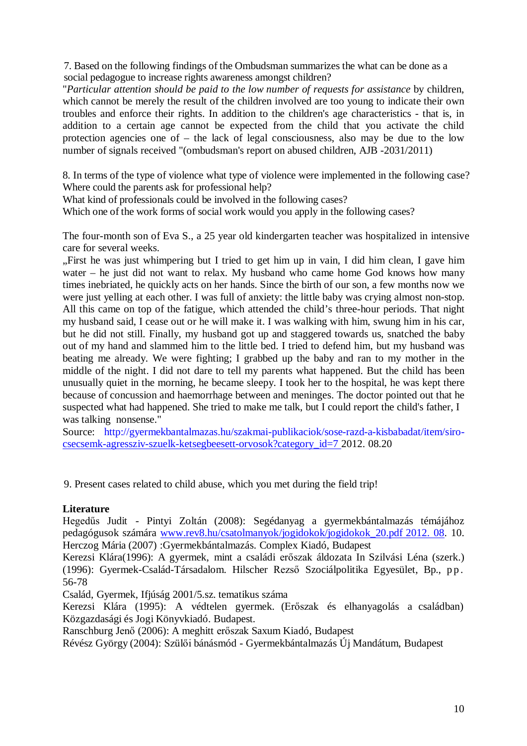7. Based on the following findings of the Ombudsman summarizes the what can be done as a social pedagogue to increase rights awareness amongst children?

"*Particular attention should be paid to the low number of requests for assistance* by children, which cannot be merely the result of the children involved are too young to indicate their own troubles and enforce their rights. In addition to the children's age characteristics - that is, in addition to a certain age cannot be expected from the child that you activate the child protection agencies one of – the lack of legal consciousness, also may be due to the low number of signals received "(ombudsman's report on abused children, AJB -2031/2011)

8. In terms of the type of violence what type of violence were implemented in the following case? Where could the parents ask for professional help?

What kind of professionals could be involved in the following cases?

Which one of the work forms of social work would you apply in the following cases?

The four-month son of Eva S., a 25 year old kindergarten teacher was hospitalized in intensive care for several weeks.

"First he was just whimpering but I tried to get him up in vain, I did him clean, I gave him water – he just did not want to relax. My husband who came home God knows how many times inebriated, he quickly acts on her hands. Since the birth of our son, a few months now we were just yelling at each other. I was full of anxiety: the little baby was crying almost non-stop. All this came on top of the fatigue, which attended the child's three-hour periods. That night my husband said, I cease out or he will make it. I was walking with him, swung him in his car, but he did not still. Finally, my husband got up and staggered towards us, snatched the baby out of my hand and slammed him to the little bed. I tried to defend him, but my husband was beating me already. We were fighting; I grabbed up the baby and ran to my mother in the middle of the night. I did not dare to tell my parents what happened. But the child has been unusually quiet in the morning, he became sleepy. I took her to the hospital, he was kept there because of concussion and haemorrhage between and meninges. The doctor pointed out that he suspected what had happened. She tried to make me talk, but I could report the child's father, I was talking nonsense."

Source: [http://gyermekbantalmazas.hu/szakmai-publikaciok/sose-razd-a-kisbabadat/item/siro](http://gyermekbantalmazas.hu/szakmai-publikaciok/sose-razd-a-kisbabadat/item/siro-csecsemk-agressziv-szuelk-ketsegbeesett-orvosok?category_id=7)[csecsemk-agressziv-szuelk-ketsegbeesett-orvosok?category\\_id=7](http://gyermekbantalmazas.hu/szakmai-publikaciok/sose-razd-a-kisbabadat/item/siro-csecsemk-agressziv-szuelk-ketsegbeesett-orvosok?category_id=7) 2012. 08.20

9. Present cases related to child abuse, which you met during the field trip!

#### **Literature**

Hegedűs Judit - Pintyi Zoltán (2008): Segédanyag a gyermekbántalmazás témájához pedagógusok számára [www.rev8.hu/csatolmanyok/jogidokok/jogidokok\\_20.pdf](http://www.rev8.hu/csatolmanyok/jogidokok/jogidokok_20.pdf%202012.%2008) 2012. 08. 10. Herczog Mária (2007) :Gyermekbántalmazás. Complex Kiadó, Budapest

Kerezsi Klára(1996): A gyermek, mint a családi erőszak áldozata In Szilvási Léna (szerk.) (1996): Gyermek-Család-Társadalom. Hilscher Rezső Szociálpolitika Egyesület, Bp., pp. 56-78

Család, Gyermek, Ifjúság 2001/5.sz. tematikus száma

Kerezsi Klára (1995): A védtelen gyermek. (Erőszak és elhanyagolás a családban) Közgazdasági és Jogi Könyvkiadó. Budapest.

Ranschburg Jenő (2006): A meghitt erőszak Saxum Kiadó, Budapest

Révész György (2004): Szülői bánásmód - Gyermekbántalmazás Új Mandátum, Budapest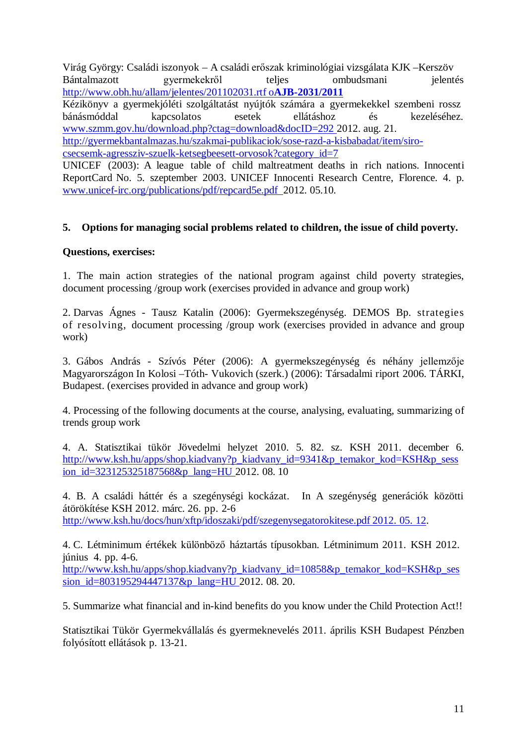Virág György: Családi iszonyok – A családi erőszak kriminológiai vizsgálata KJK –Kerszöv Bántalmazott gyermekekről teljes ombudsmani jelentés [http://www.obh.hu/allam/jelentes/201102031.rtf o](http://www.obh.hu/allam/jelentes/201102031.rtf%C3%82%C2%A0oAJB-2031/2011)**AJB-2031/2011** Kézikönyv a gyermekjóléti szolgáltatást nyújtók számára a gyermekekkel szembeni rossz bánásmóddal kapcsolatos esetek ellátáshoz és kezeléséhez. [www.szmm.gov.hu/download.php?ctag=download&docID=292](http://www.szmm.gov.hu/download.php?ctag=download&docID=292) 2012. aug. 21. [http://gyermekbantalmazas.hu/szakmai-publikaciok/sose-razd-a-kisbabadat/item/siro](http://gyermekbantalmazas.hu/szakmai-publikaciok/sose-razd-a-kisbabadat/item/siro-csecsemk-agressziv-szuelk-ketsegbeesett-orvosok?category_id=7)[csecsemk-agressziv-szuelk-ketsegbeesett-orvosok?category\\_id=7](http://gyermekbantalmazas.hu/szakmai-publikaciok/sose-razd-a-kisbabadat/item/siro-csecsemk-agressziv-szuelk-ketsegbeesett-orvosok?category_id=7) UNICEF (2003): A league table of child maltreatment deaths in rich nations. Innocenti ReportCard No. 5. szeptember 2003. UNICEF Innocenti Research Centre, Florence. 4. p. [www.unicef-irc.org/publications/pdf/repcard5e.pdf](http://www.unicef-irc.org/publications/pdf/repcard5e.pdf%202012) 2012. 05.10.

# **5. Options for managing social problems related to children, the issue of child poverty.**

#### **Questions, exercises:**

1. The main action strategies of the national program against child poverty strategies, document processing /group work (exercises provided in advance and group work)

2. Darvas Ágnes - Tausz Katalin (2006): Gyermekszegénység. DEMOS Bp. strategies of resolving, document processing /group work (exercises provided in advance and group work)

3. Gábos András - Szívós Péter (2006): A gyermekszegénység és néhány jellemzője Magyarországon In Kolosi –Tóth- Vukovich (szerk.) (2006): Társadalmi riport 2006. TÁRKI, Budapest. (exercises provided in advance and group work)

4. Processing of the following documents at the course, analysing, evaluating, summarizing of trends group work

4. A. Statisztikai tükör Jövedelmi helyzet 2010. 5. 82. sz. KSH 2011. december 6. [http://www.ksh.hu/apps/shop.kiadvany?p\\_kiadvany\\_id=9341&p\\_temakor\\_kod=KSH&p\\_sess](http://www.ksh.hu/apps/shop.kiadvany?p_kiadvany_id=9341&p_temakor_kod=KSH&p_session_id=323125325187568&p_lang=HU) [ion\\_id=323125325187568&p\\_lang=HU](http://www.ksh.hu/apps/shop.kiadvany?p_kiadvany_id=9341&p_temakor_kod=KSH&p_session_id=323125325187568&p_lang=HU) 2012. 08. 10

4. B. A családi háttér és a szegénységi kockázat. In A szegénység generációk közötti átörökítése KSH 2012. márc. 26. pp. 2-6 [http://www.ksh.hu/docs/hun/xftp/idoszaki/pdf/szegenysegatorokitese.pdf](http://www.ksh.hu/docs/hun/xftp/idoszaki/pdf/szegenysegatorokitese.pdf%202012.%2005.%2012) 2012. 05. 12.

4. C. Létminimum értékek különböző háztartás típusokban. Létminimum 2011. KSH 2012. június 4. pp. 4-6. [http://www.ksh.hu/apps/shop.kiadvany?p\\_kiadvany\\_id=10858&p\\_temakor\\_kod=KSH&p\\_ses](http://www.ksh.hu/apps/shop.kiadvany?p_kiadvany_id=10858&p_temakor_kod=KSH&p_session_id=803195294447137&p_lang=HU) sion  $id=803195294447137$ &p lang=HU 2012. 08. 20.

5. Summarize what financial and in-kind benefits do you know under the Child Protection Act!!

Statisztikai Tükör Gyermekvállalás és gyermeknevelés 2011. április KSH Budapest Pénzben folyósított ellátások p. 13-21.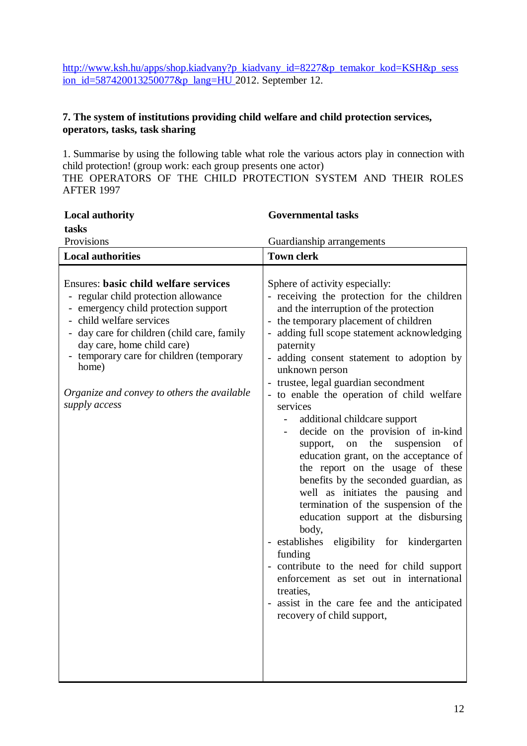[http://www.ksh.hu/apps/shop.kiadvany?p\\_kiadvany\\_id=8227&p\\_temakor\\_kod=KSH&p\\_sess](http://www.ksh.hu/apps/shop.kiadvany?p_kiadvany_id=8227&p_temakor_kod=KSH&p_session_id=587420013250077&p_lang=HU) [ion\\_id=587420013250077&p\\_lang=HU](http://www.ksh.hu/apps/shop.kiadvany?p_kiadvany_id=8227&p_temakor_kod=KSH&p_session_id=587420013250077&p_lang=HU)\_2012. September 12.

# **7. The system of institutions providing child welfare and child protection services, operators, tasks, task sharing**

1. Summarise by using the following table what role the various actors play in connection with child protection! (group work: each group presents one actor)

THE OPERATORS OF THE CHILD PROTECTION SYSTEM AND THEIR ROLES AFTER 1997

| <b>Local authority</b>                                                                                                                                                                                                                                                                                                                                 | <b>Governmental tasks</b>                                                                                                                                                                                                                                                                                                                                                                                                                                                                                                                                                                                                                                                                                                                                                                                                                                                                                                                                                                                                                 |  |
|--------------------------------------------------------------------------------------------------------------------------------------------------------------------------------------------------------------------------------------------------------------------------------------------------------------------------------------------------------|-------------------------------------------------------------------------------------------------------------------------------------------------------------------------------------------------------------------------------------------------------------------------------------------------------------------------------------------------------------------------------------------------------------------------------------------------------------------------------------------------------------------------------------------------------------------------------------------------------------------------------------------------------------------------------------------------------------------------------------------------------------------------------------------------------------------------------------------------------------------------------------------------------------------------------------------------------------------------------------------------------------------------------------------|--|
| tasks                                                                                                                                                                                                                                                                                                                                                  |                                                                                                                                                                                                                                                                                                                                                                                                                                                                                                                                                                                                                                                                                                                                                                                                                                                                                                                                                                                                                                           |  |
| Provisions                                                                                                                                                                                                                                                                                                                                             | Guardianship arrangements                                                                                                                                                                                                                                                                                                                                                                                                                                                                                                                                                                                                                                                                                                                                                                                                                                                                                                                                                                                                                 |  |
| <b>Local authorities</b>                                                                                                                                                                                                                                                                                                                               | <b>Town clerk</b>                                                                                                                                                                                                                                                                                                                                                                                                                                                                                                                                                                                                                                                                                                                                                                                                                                                                                                                                                                                                                         |  |
| <b>Ensures: basic child welfare services</b><br>- regular child protection allowance<br>- emergency child protection support<br>- child welfare services<br>day care for children (child care, family<br>day care, home child care)<br>temporary care for children (temporary<br>home)<br>Organize and convey to others the available<br>supply access | Sphere of activity especially:<br>- receiving the protection for the children<br>and the interruption of the protection<br>- the temporary placement of children<br>adding full scope statement acknowledging<br>$\overline{\phantom{0}}$<br>paternity<br>adding consent statement to adoption by<br>unknown person<br>trustee, legal guardian secondment<br>- to enable the operation of child welfare<br>services<br>additional childcare support<br>decide on the provision of in-kind<br>the<br>suspension<br>support,<br>on<br>of<br>education grant, on the acceptance of<br>the report on the usage of these<br>benefits by the seconded guardian, as<br>well as initiates the pausing and<br>termination of the suspension of the<br>education support at the disbursing<br>body,<br>- establishes<br>eligibility for kindergarten<br>funding<br>- contribute to the need for child support<br>enforcement as set out in international<br>treaties,<br>- assist in the care fee and the anticipated<br>recovery of child support, |  |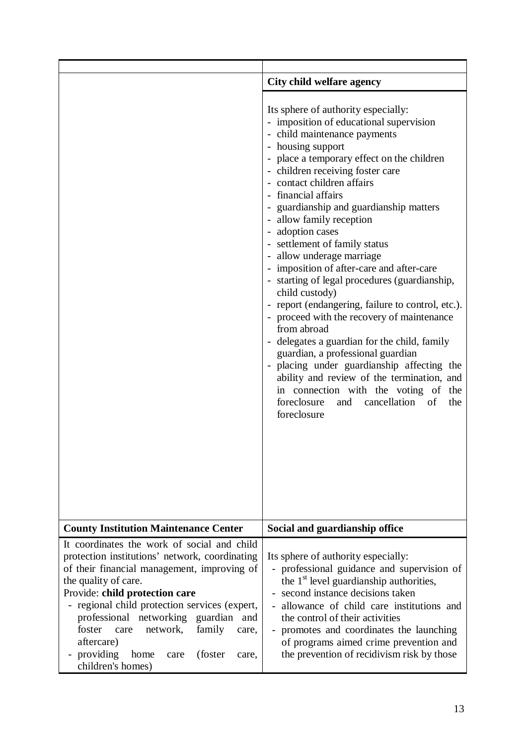|                                                                                                                                                                                                                                                                                                                                                                                                                                          | City child welfare agency                                                                                                                                                                                                                                                                                                                                                                                                                                                                                                                                                                                                                                                                                                                                                                                                                                                                                                                               |  |
|------------------------------------------------------------------------------------------------------------------------------------------------------------------------------------------------------------------------------------------------------------------------------------------------------------------------------------------------------------------------------------------------------------------------------------------|---------------------------------------------------------------------------------------------------------------------------------------------------------------------------------------------------------------------------------------------------------------------------------------------------------------------------------------------------------------------------------------------------------------------------------------------------------------------------------------------------------------------------------------------------------------------------------------------------------------------------------------------------------------------------------------------------------------------------------------------------------------------------------------------------------------------------------------------------------------------------------------------------------------------------------------------------------|--|
|                                                                                                                                                                                                                                                                                                                                                                                                                                          | Its sphere of authority especially:<br>- imposition of educational supervision<br>- child maintenance payments<br>- housing support<br>- place a temporary effect on the children<br>- children receiving foster care<br>- contact children affairs<br>- financial affairs<br>- guardianship and guardianship matters<br>- allow family reception<br>- adoption cases<br>- settlement of family status<br>- allow underage marriage<br>- imposition of after-care and after-care<br>- starting of legal procedures (guardianship,<br>child custody)<br>- report (endangering, failure to control, etc.).<br>- proceed with the recovery of maintenance<br>from abroad<br>- delegates a guardian for the child, family<br>guardian, a professional guardian<br>- placing under guardianship affecting the<br>ability and review of the termination, and<br>in connection with the voting of the<br>foreclosure and cancellation of<br>the<br>foreclosure |  |
| <b>County Institution Maintenance Center</b>                                                                                                                                                                                                                                                                                                                                                                                             | Social and guardianship office                                                                                                                                                                                                                                                                                                                                                                                                                                                                                                                                                                                                                                                                                                                                                                                                                                                                                                                          |  |
| It coordinates the work of social and child<br>protection institutions' network, coordinating<br>of their financial management, improving of<br>the quality of care.<br>Provide: child protection care<br>- regional child protection services (expert,<br>professional networking guardian<br>and<br>foster<br>network,<br>family<br>care<br>care.<br>aftercare)<br>providing<br>(foster)<br>home<br>care<br>care,<br>children's homes) | Its sphere of authority especially:<br>- professional guidance and supervision of<br>the $1st$ level guardianship authorities,<br>- second instance decisions taken<br>allowance of child care institutions and<br>the control of their activities<br>promotes and coordinates the launching<br>of programs aimed crime prevention and<br>the prevention of recidivism risk by those                                                                                                                                                                                                                                                                                                                                                                                                                                                                                                                                                                    |  |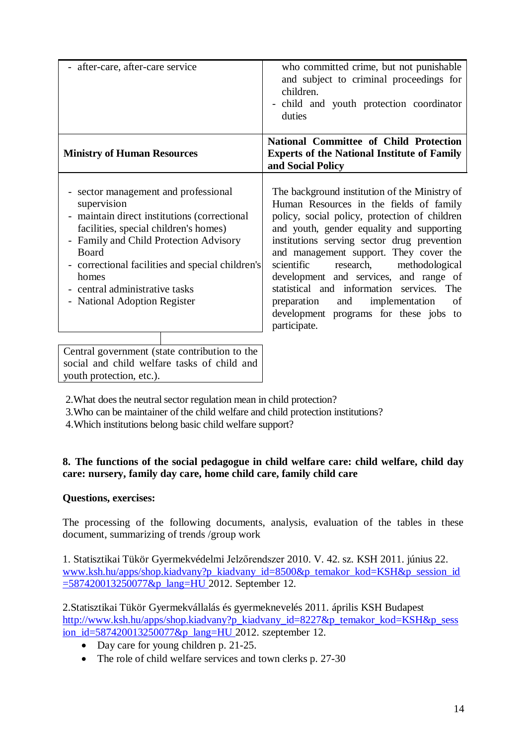| after-care, after-care service                                                                                                                                                                                                                                                                                                                                                 | who committed crime, but not punishable<br>and subject to criminal proceedings for<br>children.<br>child and youth protection coordinator<br>$\overline{\phantom{0}}$<br>duties                                                                                                                                                                                                                                                                                                                                          |
|--------------------------------------------------------------------------------------------------------------------------------------------------------------------------------------------------------------------------------------------------------------------------------------------------------------------------------------------------------------------------------|--------------------------------------------------------------------------------------------------------------------------------------------------------------------------------------------------------------------------------------------------------------------------------------------------------------------------------------------------------------------------------------------------------------------------------------------------------------------------------------------------------------------------|
| <b>Ministry of Human Resources</b>                                                                                                                                                                                                                                                                                                                                             | National Committee of Child Protection<br><b>Experts of the National Institute of Family</b><br>and Social Policy                                                                                                                                                                                                                                                                                                                                                                                                        |
| sector management and professional<br>supervision<br>maintain direct institutions (correctional<br>$\overline{\phantom{0}}$<br>facilities, special children's homes)<br>Family and Child Protection Advisory<br>$\overline{\phantom{0}}$<br>Board<br>- correctional facilities and special children's<br>homes<br>central administrative tasks<br>- National Adoption Register | The background institution of the Ministry of<br>Human Resources in the fields of family<br>policy, social policy, protection of children<br>and youth, gender equality and supporting<br>institutions serving sector drug prevention<br>and management support. They cover the<br>scientific<br>research,<br>methodological<br>development and services, and range of<br>statistical and information services. The<br>preparation and<br>implementation<br>of<br>development programs for these jobs to<br>participate. |
| Central government (state contribution to the<br>social and child welfare tasks of child and                                                                                                                                                                                                                                                                                   |                                                                                                                                                                                                                                                                                                                                                                                                                                                                                                                          |

youth protection, etc.).

2.What does the neutral sector regulation mean in child protection?

3.Who can be maintainer of the child welfare and child protection institutions?

4.Which institutions belong basic child welfare support?

# **8. The functions of the social pedagogue in child welfare care: child welfare, child day care: nursery, family day care, home child care, family child care**

# **Questions, exercises:**

The processing of the following documents, analysis, evaluation of the tables in these document, summarizing of trends /group work

1. Statisztikai Tükör Gyermekvédelmi Jelzőrendszer 2010. V. 42. sz. KSH 2011. június 22. [www.ksh.hu/apps/shop.kiadvany?p\\_kiadvany\\_id=8500&p\\_temakor\\_kod=KSH&p\\_session\\_id](http://www.ksh.hu/apps/shop.kiadvany?p_kiadvany_id=8500&p_temakor_kod=KSH&p_session_id=587420013250077&p_lang=HU) [=587420013250077&p\\_lang=HU](http://www.ksh.hu/apps/shop.kiadvany?p_kiadvany_id=8500&p_temakor_kod=KSH&p_session_id=587420013250077&p_lang=HU) 2012. September 12.

2.Statisztikai Tükör Gyermekvállalás és gyermeknevelés 2011. április KSH Budapest [http://www.ksh.hu/apps/shop.kiadvany?p\\_kiadvany\\_id=8227&p\\_temakor\\_kod=KSH&p\\_sess](http://www.ksh.hu/apps/shop.kiadvany?p_kiadvany_id=8227&p_temakor_kod=KSH&p_session_id=587420013250077&p_lang=HU) [ion\\_id=587420013250077&p\\_lang=HU](http://www.ksh.hu/apps/shop.kiadvany?p_kiadvany_id=8227&p_temakor_kod=KSH&p_session_id=587420013250077&p_lang=HU) 2012. szeptember 12.

- Day care for young children p. 21-25.
- The role of child welfare services and town clerks p. 27-30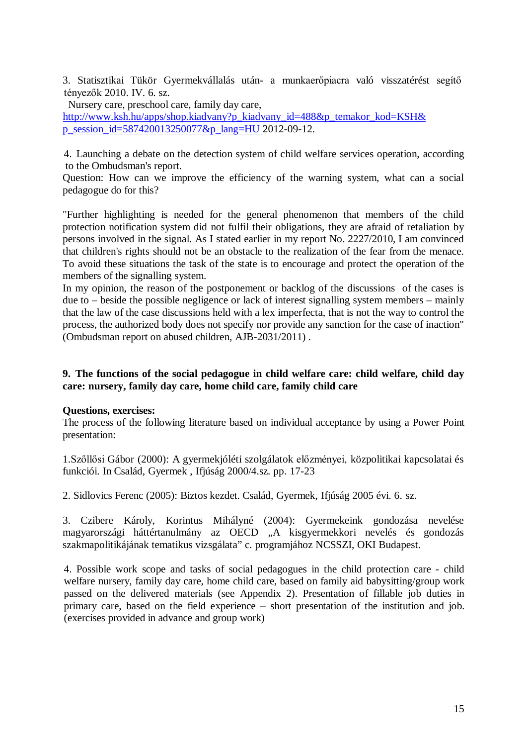3. Statisztikai Tükör Gyermekvállalás után- a munkaerőpiacra való visszatérést segítő tényezők 2010. IV. 6. sz.

Nursery care, preschool care, family day care, [http://www.ksh.hu/apps/shop.kiadvany?p\\_kiadvany\\_id=488&p\\_temakor\\_kod=KSH&](http://www.ksh.hu/apps/shop.kiadvany?p_kiadvany_id=488&p_temakor_kod=KSH&p_session_id=587420013250077&p_lang=HU) [p\\_session\\_id=587420013250077&p\\_lang=HU](http://www.ksh.hu/apps/shop.kiadvany?p_kiadvany_id=488&p_temakor_kod=KSH&p_session_id=587420013250077&p_lang=HU) 2012-09-12.

4. Launching a debate on the detection system of child welfare services operation, according to the Ombudsman's report.

Question: How can we improve the efficiency of the warning system, what can a social pedagogue do for this?

"Further highlighting is needed for the general phenomenon that members of the child protection notification system did not fulfil their obligations, they are afraid of retaliation by persons involved in the signal. As I stated earlier in my report No. 2227/2010, I am convinced that children's rights should not be an obstacle to the realization of the fear from the menace. To avoid these situations the task of the state is to encourage and protect the operation of the members of the signalling system.

In my opinion, the reason of the postponement or backlog of the discussions of the cases is due to – beside the possible negligence or lack of interest signalling system members – mainly that the law of the case discussions held with a lex imperfecta, that is not the way to control the process, the authorized body does not specify nor provide any sanction for the case of inaction" (Ombudsman report on abused children, AJB-2031/2011) .

#### **9. The functions of the social pedagogue in child welfare care: child welfare, child day care: nursery, family day care, home child care, family child care**

#### **Questions, exercises:**

The process of the following literature based on individual acceptance by using a Power Point presentation:

1.Szőllősi Gábor (2000): A gyermekjóléti szolgálatok előzményei, közpolitikai kapcsolatai és funkciói. In Család, Gyermek , Ifjúság 2000/4.sz. pp. 17-23

2. Sidlovics Ferenc (2005): Biztos kezdet. Család, Gyermek, Ifjúság 2005 évi. 6. sz.

3. Czibere Károly, Korintus Mihályné (2004): Gyermekeink gondozása nevelése magyarországi háttértanulmány az OECD "A kisgyermekkori nevelés és gondozás szakmapolitikájának tematikus vizsgálata" c. programjához NCSSZI, OKI Budapest.

4. Possible work scope and tasks of social pedagogues in the child protection care - child welfare nursery, family day care, home child care, based on family aid babysitting/group work passed on the delivered materials (see Appendix 2). Presentation of fillable job duties in primary care, based on the field experience – short presentation of the institution and job. (exercises provided in advance and group work)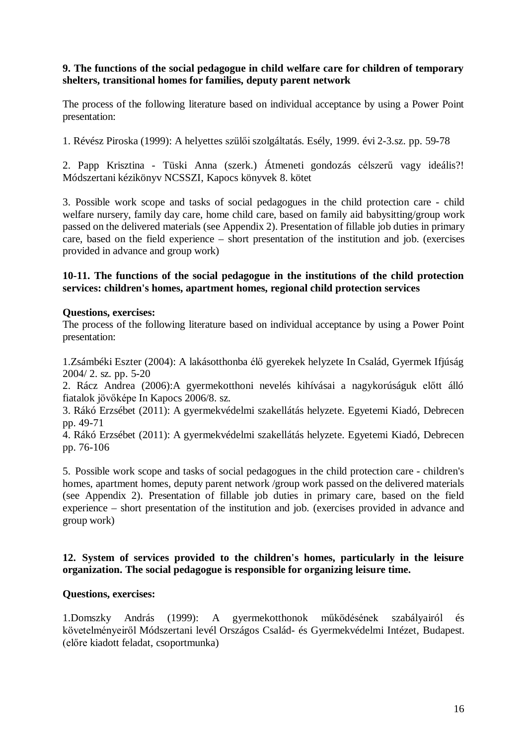#### **9. The functions of the social pedagogue in child welfare care for children of temporary shelters, transitional homes for families, deputy parent network**

The process of the following literature based on individual acceptance by using a Power Point presentation:

1. Révész Piroska (1999): A helyettes szülői szolgáltatás. Esély, 1999. évi 2-3.sz. pp. 59-78

2. Papp Krisztina - Tüski Anna (szerk.) Átmeneti gondozás célszerű vagy ideális?! Módszertani kézikönyv NCSSZI, Kapocs könyvek 8. kötet

3. Possible work scope and tasks of social pedagogues in the child protection care - child welfare nursery, family day care, home child care, based on family aid babysitting/group work passed on the delivered materials (see Appendix 2). Presentation of fillable job duties in primary care, based on the field experience – short presentation of the institution and job. (exercises provided in advance and group work)

#### **10-11. The functions of the social pedagogue in the institutions of the child protection services: children's homes, apartment homes, regional child protection services**

#### **Questions, exercises:**

The process of the following literature based on individual acceptance by using a Power Point presentation:

1.Zsámbéki Eszter (2004): A lakásotthonba élő gyerekek helyzete In Család, Gyermek Ifjúság 2004/ 2. sz. pp. 5-20

2. Rácz Andrea (2006):A gyermekotthoni nevelés kihívásai a nagykorúságuk előtt álló fiatalok jövőképe In Kapocs 2006/8. sz.

3. Rákó Erzsébet (2011): A gyermekvédelmi szakellátás helyzete. Egyetemi Kiadó, Debrecen pp. 49-71

4. Rákó Erzsébet (2011): A gyermekvédelmi szakellátás helyzete. Egyetemi Kiadó, Debrecen pp. 76-106

5. Possible work scope and tasks of social pedagogues in the child protection care - children's homes, apartment homes, deputy parent network /group work passed on the delivered materials (see Appendix 2). Presentation of fillable job duties in primary care, based on the field experience – short presentation of the institution and job. (exercises provided in advance and group work)

#### **12. System of services provided to the children's homes, particularly in the leisure organization. The social pedagogue is responsible for organizing leisure time.**

# **Questions, exercises:**

1.Domszky András (1999): A gyermekotthonok működésének szabályairól és követelményeiről Módszertani levél Országos Család- és Gyermekvédelmi Intézet, Budapest. (előre kiadott feladat, csoportmunka)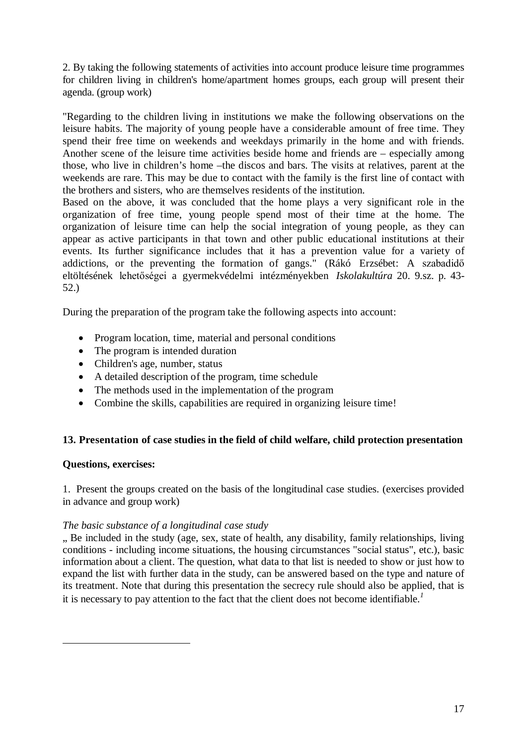2. By taking the following statements of activities into account produce leisure time programmes for children living in children's home/apartment homes groups, each group will present their agenda. (group work)

"Regarding to the children living in institutions we make the following observations on the leisure habits. The majority of young people have a considerable amount of free time. They spend their free time on weekends and weekdays primarily in the home and with friends. Another scene of the leisure time activities beside home and friends are – especially among those, who live in children's home –the discos and bars. The visits at relatives, parent at the weekends are rare. This may be due to contact with the family is the first line of contact with the brothers and sisters, who are themselves residents of the institution.

Based on the above, it was concluded that the home plays a very significant role in the organization of free time, young people spend most of their time at the home. The organization of leisure time can help the social integration of young people, as they can appear as active participants in that town and other public educational institutions at their events. Its further significance includes that it has a prevention value for a variety of addictions, or the preventing the formation of gangs." (Rákó Erzsébet: A szabadidő eltöltésének lehetőségei a gyermekvédelmi intézményekben *Iskolakultúra* 20. 9.sz. p. 43- 52.)

During the preparation of the program take the following aspects into account:

- Program location, time, material and personal conditions
- The program is intended duration
- Children's age, number, status
- A detailed description of the program, time schedule
- The methods used in the implementation of the program
- Combine the skills, capabilities are required in organizing leisure time!

# **13. Presentation of case studies in the field of child welfare, child protection presentation**

# **Questions, exercises:**

1. Present the groups created on the basis of the longitudinal case studies. (exercises provided in advance and group work)

#### *The basic substance of a longitudinal case study*

". Be included in the study (age, sex, state of health, any disability, family relationships, living conditions - including income situations, the housing circumstances "social status", etc.), basic information about a client. The question, what data to that list is needed to show or just how to expand the list with further data in the study, can be answered based on the type and nature of its treatment. Note that during this presentation the secrecy rule should also be applied, that is it is necessary to pay attention to the fact that the client does not become identifiable.*<sup>1</sup>*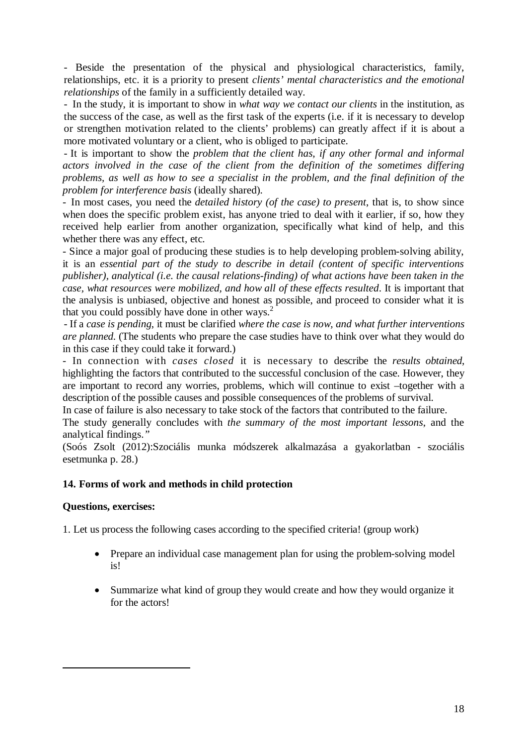- Beside the presentation of the physical and physiological characteristics, family, relationships, etc. it is a priority to present *clients' mental characteristics and the emotional relationships* of the family in a sufficiently detailed way.

- In the study, it is important to show in *what way we contact our clients* in the institution, as the success of the case, as well as the first task of the experts (i.e. if it is necessary to develop or strengthen motivation related to the clients' problems) can greatly affect if it is about a more motivated voluntary or a client, who is obliged to participate.

- It is important to show the *problem that the client has, if any other formal and informal actors involved in the case of the client from the definition of the sometimes differing problems, as well as how to see a specialist in the problem, and the final definition of the problem for interference basis* (ideally shared)*.*

*-* In most cases, you need the *detailed history (of the case) to present*, that is, to show since when does the specific problem exist, has anyone tried to deal with it earlier, if so, how they received help earlier from another organization, specifically what kind of help, and this whether there was any effect, etc.

- Since a major goal of producing these studies is to help developing problem-solving ability, it is an *essential part of the study to describe in detail (content of specific interventions publisher), analytical (i.e. the causal relations-finding) of what actions have been taken in the case, what resources were mobilized, and how all of these effects resulted*. It is important that the analysis is unbiased, objective and honest as possible, and proceed to consider what it is that you could possibly have done in other ways.<sup>2</sup>

- If a *case is pending*, it must be clarified *where the case is now, and what further interventions are planned.* (The students who prepare the case studies have to think over what they would do in this case if they could take it forward.)

*-* In connection with *cases closed* it is necessary to describe the *results obtained*, highlighting the factors that contributed to the successful conclusion of the case. However, they are important to record any worries, problems, which will continue to exist –together with a description of the possible causes and possible consequences of the problems of survival.

In case of failure is also necessary to take stock of the factors that contributed to the failure.

The study generally concludes with *the summary of the most important lessons*, and the analytical findings.*"*

(Soós Zsolt (2012):Szociális munka módszerek alkalmazása a gyakorlatban - szociális esetmunka p. 28.)

# **14. Forms of work and methods in child protection**

# **Questions, exercises:**

1. Let us process the following cases according to the specified criteria! (group work)

- Prepare an individual case management plan for using the problem-solving model is!
- Summarize what kind of group they would create and how they would organize it for the actors!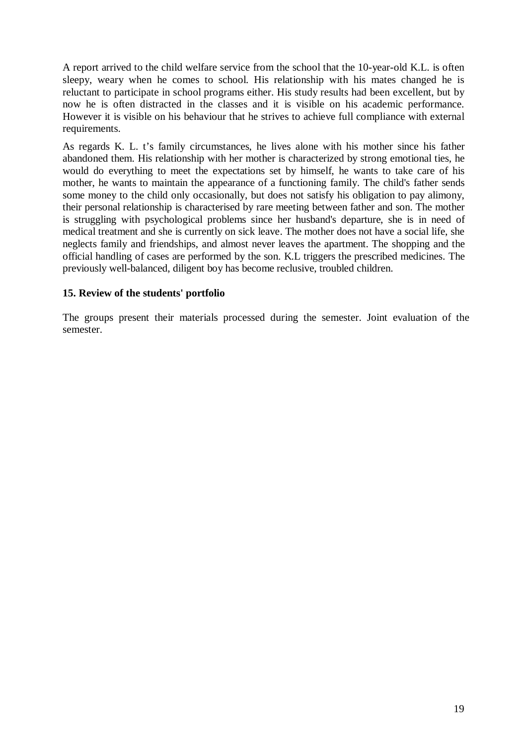A report arrived to the child welfare service from the school that the 10-year-old K.L. is often sleepy, weary when he comes to school. His relationship with his mates changed he is reluctant to participate in school programs either. His study results had been excellent, but by now he is often distracted in the classes and it is visible on his academic performance. However it is visible on his behaviour that he strives to achieve full compliance with external requirements.

As regards K. L. t's family circumstances, he lives alone with his mother since his father abandoned them. His relationship with her mother is characterized by strong emotional ties, he would do everything to meet the expectations set by himself, he wants to take care of his mother, he wants to maintain the appearance of a functioning family. The child's father sends some money to the child only occasionally, but does not satisfy his obligation to pay alimony, their personal relationship is characterised by rare meeting between father and son. The mother is struggling with psychological problems since her husband's departure, she is in need of medical treatment and she is currently on sick leave. The mother does not have a social life, she neglects family and friendships, and almost never leaves the apartment. The shopping and the official handling of cases are performed by the son. K.L triggers the prescribed medicines. The previously well-balanced, diligent boy has become reclusive, troubled children.

# **15. Review of the students' portfolio**

The groups present their materials processed during the semester. Joint evaluation of the semester.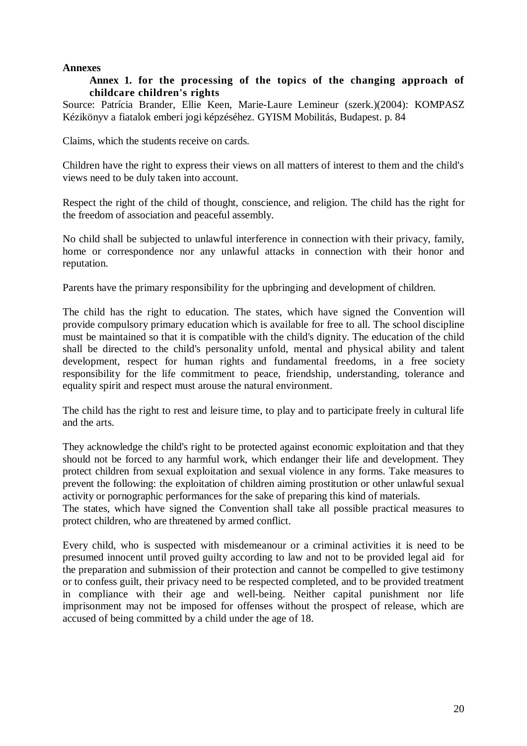#### **Annexes**

#### **Annex 1. for the processing of the topics of the changing approach of childcare children's rights**

Source: Patrícia Brander, Ellie Keen, Marie-Laure Lemineur (szerk.)(2004): KOMPASZ Kézikönyv a fiatalok emberi jogi képzéséhez. GYISM Mobilitás, Budapest. p. 84

Claims, which the students receive on cards.

Children have the right to express their views on all matters of interest to them and the child's views need to be duly taken into account.

Respect the right of the child of thought, conscience, and religion. The child has the right for the freedom of association and peaceful assembly.

No child shall be subjected to unlawful interference in connection with their privacy, family, home or correspondence nor any unlawful attacks in connection with their honor and reputation.

Parents have the primary responsibility for the upbringing and development of children.

The child has the right to education. The states, which have signed the Convention will provide compulsory primary education which is available for free to all. The school discipline must be maintained so that it is compatible with the child's dignity. The education of the child shall be directed to the child's personality unfold, mental and physical ability and talent development, respect for human rights and fundamental freedoms, in a free society responsibility for the life commitment to peace, friendship, understanding, tolerance and equality spirit and respect must arouse the natural environment.

The child has the right to rest and leisure time, to play and to participate freely in cultural life and the arts.

They acknowledge the child's right to be protected against economic exploitation and that they should not be forced to any harmful work, which endanger their life and development. They protect children from sexual exploitation and sexual violence in any forms. Take measures to prevent the following: the exploitation of children aiming prostitution or other unlawful sexual activity or pornographic performances for the sake of preparing this kind of materials.

The states, which have signed the Convention shall take all possible practical measures to protect children, who are threatened by armed conflict.

Every child, who is suspected with misdemeanour or a criminal activities it is need to be presumed innocent until proved guilty according to law and not to be provided legal aid for the preparation and submission of their protection and cannot be compelled to give testimony or to confess guilt, their privacy need to be respected completed, and to be provided treatment in compliance with their age and well-being. Neither capital punishment nor life imprisonment may not be imposed for offenses without the prospect of release, which are accused of being committed by a child under the age of 18.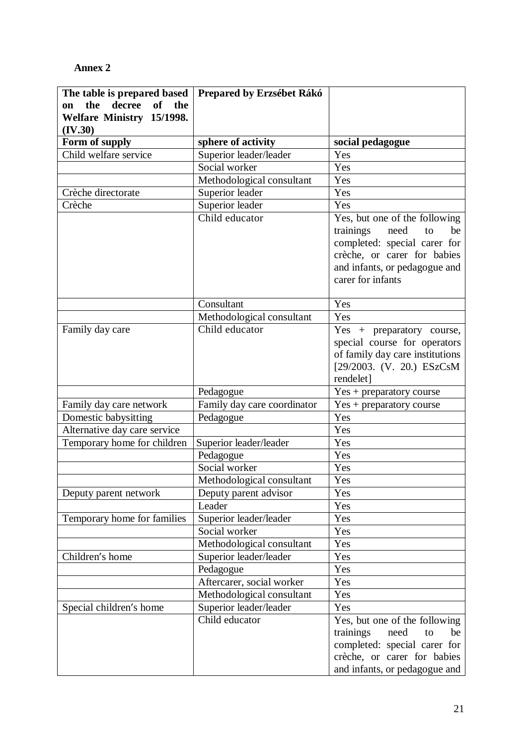# **Annex 2**

| The table is prepared based   | Prepared by Erzsébet Rákó         |                                                              |
|-------------------------------|-----------------------------------|--------------------------------------------------------------|
| decree<br>of the<br>the<br>on |                                   |                                                              |
| Welfare Ministry 15/1998.     |                                   |                                                              |
| (IV.30)<br>Form of supply     | sphere of activity                | social pedagogue                                             |
| Child welfare service         | Superior leader/leader            | Yes                                                          |
|                               | Social worker                     | Yes                                                          |
|                               | Methodological consultant         | Yes                                                          |
| Crèche directorate            | Superior leader                   | Yes                                                          |
| Crèche                        |                                   | Yes                                                          |
|                               | Superior leader<br>Child educator |                                                              |
|                               |                                   | Yes, but one of the following                                |
|                               |                                   | trainings<br>need<br>be<br>to                                |
|                               |                                   | completed: special carer for                                 |
|                               |                                   | crèche, or carer for babies<br>and infants, or pedagogue and |
|                               |                                   | carer for infants                                            |
|                               |                                   |                                                              |
|                               | Consultant                        | Yes                                                          |
|                               | Methodological consultant         | Yes                                                          |
| Family day care               | Child educator                    | Yes + preparatory course,                                    |
|                               |                                   | special course for operators                                 |
|                               |                                   | of family day care institutions                              |
|                               |                                   | [29/2003. (V. 20.) ESzCsM                                    |
|                               |                                   | rendelet]                                                    |
|                               | Pedagogue                         | Yes + preparatory course                                     |
| Family day care network       | Family day care coordinator       | Yes + preparatory course                                     |
| Domestic babysitting          | Pedagogue                         | Yes                                                          |
| Alternative day care service  |                                   | Yes                                                          |
| Temporary home for children   | Superior leader/leader            | Yes                                                          |
|                               | Pedagogue                         | Yes                                                          |
|                               | Social worker                     | Yes                                                          |
|                               | Methodological consultant         | Yes                                                          |
| Deputy parent network         | Deputy parent advisor             | Yes                                                          |
|                               | Leader                            | Yes                                                          |
| Temporary home for families   | Superior leader/leader            | Yes                                                          |
|                               | Social worker                     | Yes                                                          |
|                               | Methodological consultant         | Yes                                                          |
| Children's home               | Superior leader/leader            | Yes                                                          |
|                               | Pedagogue                         | Yes                                                          |
|                               | Aftercarer, social worker         | Yes                                                          |
|                               | Methodological consultant         | Yes                                                          |
| Special children's home       | Superior leader/leader            | Yes                                                          |
|                               | Child educator                    | Yes, but one of the following                                |
|                               |                                   | trainings<br>need<br>to<br>be                                |
|                               |                                   | completed: special carer for                                 |
|                               |                                   | crèche, or carer for babies                                  |
|                               |                                   | and infants, or pedagogue and                                |